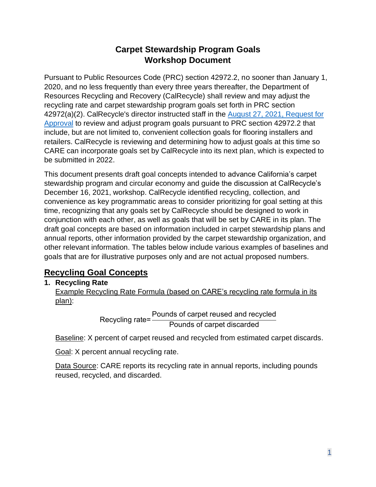# **Carpet Stewardship Program Goals Workshop Document**

Pursuant to Public Resources Code (PRC) section 42972.2, no sooner than January 1, 2020, and no less frequently than every three years thereafter, the Department of Resources Recycling and Recovery (CalRecycle) shall review and may adjust the recycling rate and carpet stewardship program goals set forth in PRC section 42972(a)(2). CalRecycle's director instructed staff in the [August 27, 2021, Request for](https://www2.calrecycle.ca.gov/PublicNotices/Details/4483)  [Approval](https://www2.calrecycle.ca.gov/PublicNotices/Details/4483) to review and adjust program goals pursuant to PRC section 42972.2 that include, but are not limited to, convenient collection goals for flooring installers and retailers. CalRecycle is reviewing and determining how to adjust goals at this time so CARE can incorporate goals set by CalRecycle into its next plan, which is expected to be submitted in 2022.

This document presents draft goal concepts intended to advance California's carpet stewardship program and circular economy and guide the discussion at CalRecycle's December 16, 2021, workshop. CalRecycle identified recycling, collection, and convenience as key programmatic areas to consider prioritizing for goal setting at this time, recognizing that any goals set by CalRecycle should be designed to work in conjunction with each other, as well as goals that will be set by CARE in its plan. The draft goal concepts are based on information included in carpet stewardship plans and annual reports, other information provided by the carpet stewardship organization, and other relevant information. The tables below include various examples of baselines and goals that are for illustrative purposes only and are not actual proposed numbers.

# **Recycling Goal Concepts**

## **1. Recycling Rate**

Example Recycling Rate Formula (based on CARE's recycling rate formula in its plan):

> Recycling rate= Pounds of carpet reused and recycled Pounds of carpet discarded

Baseline: X percent of carpet reused and recycled from estimated carpet discards.

Goal: X percent annual recycling rate.

Data Source: CARE reports its recycling rate in annual reports, including pounds reused, recycled, and discarded.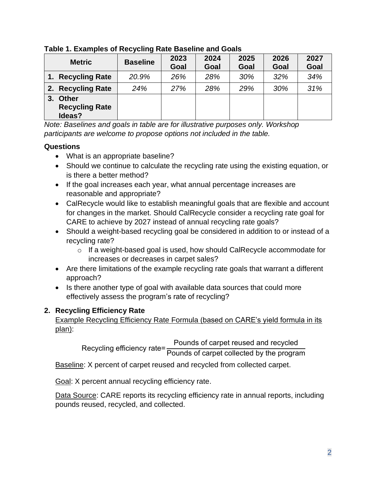| <b>Metric</b>                                         | <b>Baseline</b> | 2023<br>Goal | 2024<br>Goal | 2025<br>Goal | 2026<br>Goal | 2027<br>Goal |
|-------------------------------------------------------|-----------------|--------------|--------------|--------------|--------------|--------------|
| <b>Recycling Rate</b><br>1.7                          | 20.9%           | 26%          | 28%          | 30%          | 32%          | 34%          |
| 2. Recycling Rate                                     | 24%             | 27%          | 28%          | 29%          | 30%          | 31%          |
| <b>Other</b><br>3.<br><b>Recycling Rate</b><br>Ideas? |                 |              |              |              |              |              |

**Table 1. Examples of Recycling Rate Baseline and Goals**

*Note: Baselines and goals in table are for illustrative purposes only. Workshop participants are welcome to propose options not included in the table.*

### **Questions**

- What is an appropriate baseline?
- Should we continue to calculate the recycling rate using the existing equation, or is there a better method?
- If the goal increases each year, what annual percentage increases are reasonable and appropriate?
- CalRecycle would like to establish meaningful goals that are flexible and account for changes in the market. Should CalRecycle consider a recycling rate goal for CARE to achieve by 2027 instead of annual recycling rate goals?
- Should a weight-based recycling goal be considered in addition to or instead of a recycling rate?
	- o If a weight-based goal is used, how should CalRecycle accommodate for increases or decreases in carpet sales?
- Are there limitations of the example recycling rate goals that warrant a different approach?
- Is there another type of goal with available data sources that could more effectively assess the program's rate of recycling?

## **2. Recycling Efficiency Rate**

Example Recycling Efficiency Rate Formula (based on CARE's yield formula in its plan):

> Recycling efficiency rate= Pounds of carpet reused and recycled Pounds of carpet collected by the program

Baseline: X percent of carpet reused and recycled from collected carpet.

Goal: X percent annual recycling efficiency rate.

Data Source: CARE reports its recycling efficiency rate in annual reports, including pounds reused, recycled, and collected.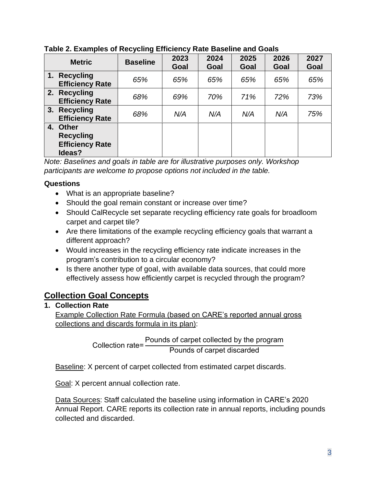| <b>Metric</b>                                                              | <b>Baseline</b> | 2023<br>Goal | 2024<br>Goal | 2025<br>Goal | 2026<br>Goal | 2027<br>Goal |
|----------------------------------------------------------------------------|-----------------|--------------|--------------|--------------|--------------|--------------|
| 1.7<br><b>Recycling</b><br><b>Efficiency Rate</b>                          | 65%             | 65%          | 65%          | 65%          | 65%          | 65%          |
| 2. Recycling<br><b>Efficiency Rate</b>                                     | 68%             | 69%          | 70%          | 71%          | 72%          | 73%          |
| 3. Recycling<br><b>Efficiency Rate</b>                                     | 68%             | N/A          | N/A          | N/A          | N/A          | 75%          |
| <b>Other</b><br>4.<br><b>Recycling</b><br><b>Efficiency Rate</b><br>Ideas? |                 |              |              |              |              |              |

### **Table 2. Examples of Recycling Efficiency Rate Baseline and Goals**

*Note: Baselines and goals in table are for illustrative purposes only. Workshop participants are welcome to propose options not included in the table.*

### **Questions**

- What is an appropriate baseline?
- Should the goal remain constant or increase over time?
- Should CalRecycle set separate recycling efficiency rate goals for broadloom carpet and carpet tile?
- Are there limitations of the example recycling efficiency goals that warrant a different approach?
- Would increases in the recycling efficiency rate indicate increases in the program's contribution to a circular economy?
- Is there another type of goal, with available data sources, that could more effectively assess how efficiently carpet is recycled through the program?

# **Collection Goal Concepts**

## **1. Collection Rate**

Example Collection Rate Formula (based on CARE's reported annual gross collections and discards formula in its plan):

> Collection rate= Pounds of carpet collected by the program Pounds of carpet discarded

Baseline: X percent of carpet collected from estimated carpet discards.

Goal: X percent annual collection rate.

Data Sources: Staff calculated the baseline using information in CARE's 2020 Annual Report. CARE reports its collection rate in annual reports, including pounds collected and discarded.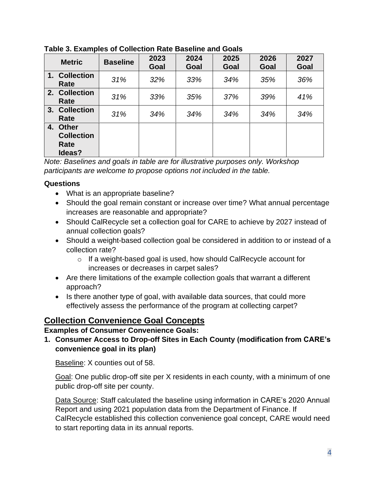| <b>Metric</b>                                   | <b>Baseline</b> | 2023<br>Goal | 2024<br>Goal | 2025<br>Goal | 2026<br>Goal | 2027<br>Goal |
|-------------------------------------------------|-----------------|--------------|--------------|--------------|--------------|--------------|
| 1. Collection<br>Rate                           | 31%             | 32%          | 33%          | 34%          | 35%          | 36%          |
| 2. Collection<br>Rate                           | 31%             | 33%          | 35%          | 37%          | 39%          | 41%          |
| 3. Collection<br>Rate                           | 31%             | 34%          | 34%          | 34%          | 34%          | 34%          |
| 4. Other<br><b>Collection</b><br>Rate<br>Ideas? |                 |              |              |              |              |              |

**Table 3. Examples of Collection Rate Baseline and Goals**

*Note: Baselines and goals in table are for illustrative purposes only. Workshop participants are welcome to propose options not included in the table.*

### **Questions**

- What is an appropriate baseline?
- Should the goal remain constant or increase over time? What annual percentage increases are reasonable and appropriate?
- Should CalRecycle set a collection goal for CARE to achieve by 2027 instead of annual collection goals?
- Should a weight-based collection goal be considered in addition to or instead of a collection rate?
	- o If a weight-based goal is used, how should CalRecycle account for increases or decreases in carpet sales?
- Are there limitations of the example collection goals that warrant a different approach?
- Is there another type of goal, with available data sources, that could more effectively assess the performance of the program at collecting carpet?

# **Collection Convenience Goal Concepts**

### **Examples of Consumer Convenience Goals:**

**1. Consumer Access to Drop-off Sites in Each County (modification from CARE's convenience goal in its plan)**

Baseline: X counties out of 58.

Goal: One public drop-off site per X residents in each county, with a minimum of one public drop-off site per county.

Data Source: Staff calculated the baseline using information in CARE's 2020 Annual Report and using 2021 population data from the Department of Finance. If CalRecycle established this collection convenience goal concept, CARE would need to start reporting data in its annual reports.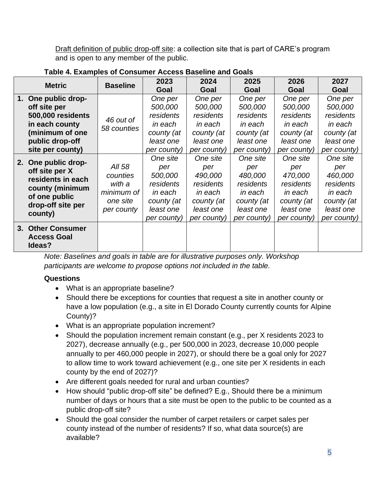Draft definition of public drop-off site: a collection site that is part of CARE's program and is open to any member of the public.

| <b>Metric</b> |                                                                                              | <b>Baseline</b>          | 2023        | 2024        | 2025        | 2026        | 2027        |
|---------------|----------------------------------------------------------------------------------------------|--------------------------|-------------|-------------|-------------|-------------|-------------|
|               |                                                                                              |                          | Goal        | Goal        | Goal        | Goal        | Goal        |
|               | 1. One public drop-                                                                          |                          | One per     | One per     | One per     | One per     | One per     |
|               | off site per                                                                                 |                          | 500,000     | 500,000     | 500,000     | 500,000     | 500,000     |
|               | 500,000 residents                                                                            | 46 out of<br>58 counties | residents   | residents   | residents   | residents   | residents   |
|               | in each county                                                                               |                          | in each     | in each     | in each     | in each     | in each     |
|               | (minimum of one                                                                              |                          | county (at  | county (at  | county (at  | county (at  | county (at  |
|               | public drop-off                                                                              |                          | least one   | least one   | least one   | least one   | least one   |
|               | site per county)                                                                             |                          | per county) | per county) | per county) | per county) | per county) |
|               | 2. One public drop-                                                                          |                          | One site    | One site    | One site    | One site    | One site    |
|               | off site per X<br>residents in each<br>county (minimum<br>of one public<br>drop-off site per | All 58                   | per         | per         | per         | per         | per         |
|               |                                                                                              | counties                 | 500,000     | 490,000     | 480,000     | 470,000     | 460,000     |
|               |                                                                                              | with a                   | residents   | residents   | residents   | residents   | residents   |
|               |                                                                                              | minimum of               | in each     | in each     | in each     | in each     | in each     |
|               |                                                                                              | one site                 | county (at  | county (at  | county (at  | county (at  | county (at  |
|               | county)                                                                                      | per county               | least one   | least one   | least one   | least one   | least one   |
|               |                                                                                              |                          | per county) | per county) | per county) | per county) | per county) |
|               | 3. Other Consumer                                                                            |                          |             |             |             |             |             |
|               | <b>Access Goal</b><br>Ideas?                                                                 |                          |             |             |             |             |             |

## **Table 4. Examples of Consumer Access Baseline and Goals**

*Note: Baselines and goals in table are for illustrative purposes only. Workshop participants are welcome to propose options not included in the table.*

## **Questions**

- What is an appropriate baseline?
- Should there be exceptions for counties that request a site in another county or have a low population (e.g., a site in El Dorado County currently counts for Alpine County)?
- What is an appropriate population increment?
- Should the population increment remain constant (e.g., per X residents 2023 to 2027), decrease annually (e.g., per 500,000 in 2023, decrease 10,000 people annually to per 460,000 people in 2027), or should there be a goal only for 2027 to allow time to work toward achievement (e.g., one site per X residents in each county by the end of 2027)?
- Are different goals needed for rural and urban counties?
- How should "public drop-off site" be defined? E.g., Should there be a minimum number of days or hours that a site must be open to the public to be counted as a public drop-off site?
- Should the goal consider the number of carpet retailers or carpet sales per county instead of the number of residents? If so, what data source(s) are available?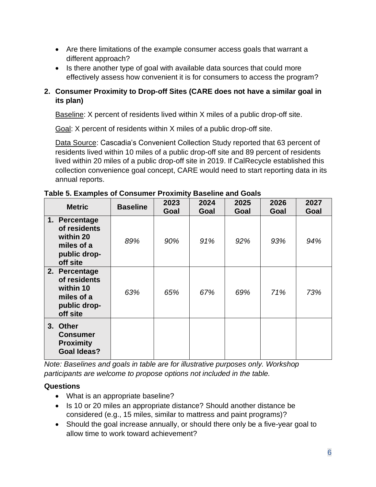- Are there limitations of the example consumer access goals that warrant a different approach?
- Is there another type of goal with available data sources that could more effectively assess how convenient it is for consumers to access the program?

### **2. Consumer Proximity to Drop-off Sites (CARE does not have a similar goal in its plan)**

Baseline: X percent of residents lived within X miles of a public drop-off site.

Goal: X percent of residents within X miles of a public drop-off site.

Data Source: Cascadia's Convenient Collection Study reported that 63 percent of residents lived within 10 miles of a public drop-off site and 89 percent of residents lived within 20 miles of a public drop-off site in 2019. If CalRecycle established this collection convenience goal concept, CARE would need to start reporting data in its annual reports.

| <b>Metric</b>                                                                        | <b>Baseline</b> | 2023<br>Goal | 2024<br>Goal | 2025<br>Goal | 2026<br>Goal | 2027<br>Goal |
|--------------------------------------------------------------------------------------|-----------------|--------------|--------------|--------------|--------------|--------------|
| 1. Percentage<br>of residents<br>within 20<br>miles of a<br>public drop-<br>off site | 89%             | 90%          | 91%          | 92%          | 93%          | 94%          |
| 2. Percentage<br>of residents<br>within 10<br>miles of a<br>public drop-<br>off site | 63%             | 65%          | 67%          | 69%          | 71%          | 73%          |
| 3. Other<br><b>Consumer</b><br><b>Proximity</b><br><b>Goal Ideas?</b>                |                 |              |              |              |              |              |

**Table 5. Examples of Consumer Proximity Baseline and Goals**

*Note: Baselines and goals in table are for illustrative purposes only. Workshop participants are welcome to propose options not included in the table.*

### **Questions**

- What is an appropriate baseline?
- Is 10 or 20 miles an appropriate distance? Should another distance be considered (e.g., 15 miles, similar to mattress and paint programs)?
- Should the goal increase annually, or should there only be a five-year goal to allow time to work toward achievement?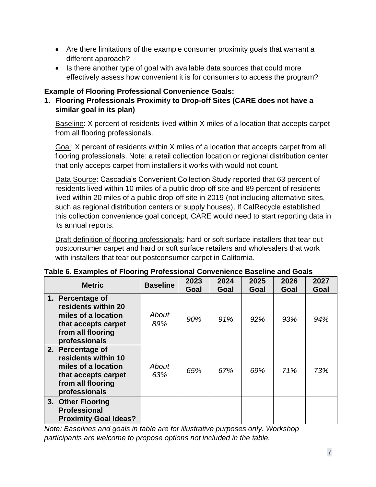- Are there limitations of the example consumer proximity goals that warrant a different approach?
- Is there another type of goal with available data sources that could more effectively assess how convenient it is for consumers to access the program?

## **Example of Flooring Professional Convenience Goals:**

**1. Flooring Professionals Proximity to Drop-off Sites (CARE does not have a similar goal in its plan)** 

Baseline: X percent of residents lived within X miles of a location that accepts carpet from all flooring professionals.

Goal: X percent of residents within X miles of a location that accepts carpet from all flooring professionals. Note: a retail collection location or regional distribution center that only accepts carpet from installers it works with would not count.

Data Source: Cascadia's Convenient Collection Study reported that 63 percent of residents lived within 10 miles of a public drop-off site and 89 percent of residents lived within 20 miles of a public drop-off site in 2019 (not including alternative sites, such as regional distribution centers or supply houses). If CalRecycle established this collection convenience goal concept, CARE would need to start reporting data in its annual reports.

Draft definition of flooring professionals: hard or soft surface installers that tear out postconsumer carpet and hard or soft surface retailers and wholesalers that work with installers that tear out postconsumer carpet in California.

| <b>Metric</b>                                                                                                               | <b>Baseline</b> | 2023<br>Goal | 2024<br>Goal | 2025<br>Goal | 2026<br>Goal | 2027<br>Goal |
|-----------------------------------------------------------------------------------------------------------------------------|-----------------|--------------|--------------|--------------|--------------|--------------|
| 1. Percentage of<br>residents within 20<br>miles of a location<br>that accepts carpet<br>from all flooring<br>professionals | About<br>89%    | 90%          | 91%          | $92\%$       | 93%          | 94%          |
| 2. Percentage of<br>residents within 10<br>miles of a location<br>that accepts carpet<br>from all flooring<br>professionals | About<br>63%    | 65%          | 67%          | 69%          | 71%          | 73%          |
| 3. Other Flooring<br><b>Professional</b><br><b>Proximity Goal Ideas?</b>                                                    |                 |              |              |              |              |              |

### **Table 6. Examples of Flooring Professional Convenience Baseline and Goals**

*Note: Baselines and goals in table are for illustrative purposes only. Workshop participants are welcome to propose options not included in the table.*